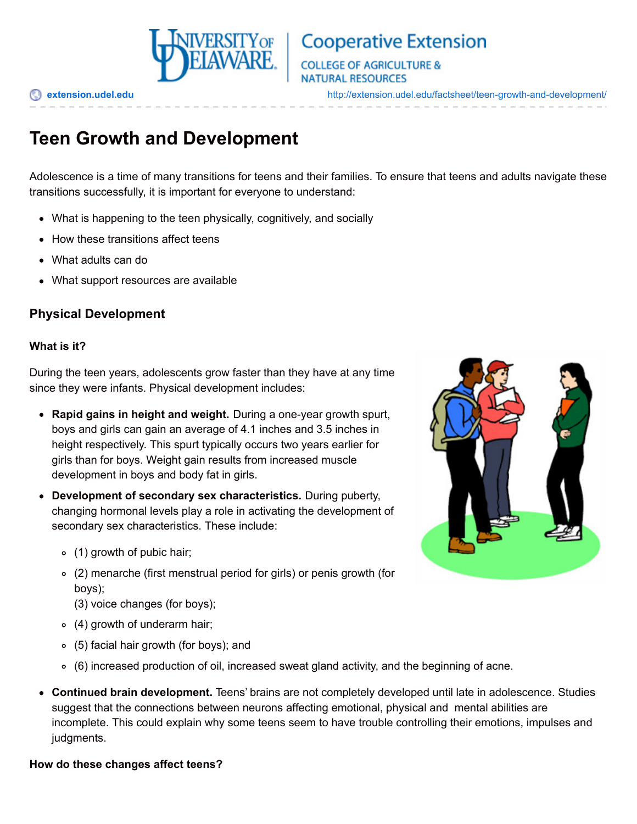

**Cooperative Extension** 

**COLLEGE OF AGRICULTURE & NATURAL RESOURCES** 

**[extension.udel.edu](http://extension.udel.edu)** <http://extension.udel.edu/factsheet/teen-growth-and-development/>

# **Teen Growth and Development**

Adolescence is a time of many transitions for teens and their families. To ensure that teens and adults navigate these transitions successfully, it is important for everyone to understand:

- What is happening to the teen physically, cognitively, and socially
- How these transitions affect teens
- What adults can do
- What support resources are available

### **Physical Development**

#### **What is it?**

During the teen years, adolescents grow faster than they have at any time since they were infants. Physical development includes:

- **Rapid gains in height and weight.** During a one-year growth spurt, boys and girls can gain an average of 4.1 inches and 3.5 inches in height respectively. This spurt typically occurs two years earlier for girls than for boys. Weight gain results from increased muscle development in boys and body fat in girls.
- **Development of secondary sex characteristics.** During puberty, changing hormonal levels play a role in activating the development of secondary sex characteristics. These include:
	- (1) growth of pubic hair;
	- (2) menarche (first menstrual period for girls) or penis growth (for boys);
		- (3) voice changes (for boys);
	- (4) growth of underarm hair;
	- (5) facial hair growth (for boys); and
	- (6) increased production of oil, increased sweat gland activity, and the beginning of acne.
- **Continued brain development.** Teens' brains are not completely developed until late in adolescence. Studies suggest that the connections between neurons affecting emotional, physical and mental abilities are incomplete. This could explain why some teens seem to have trouble controlling their emotions, impulses and judgments.



**How do these changes affect teens?**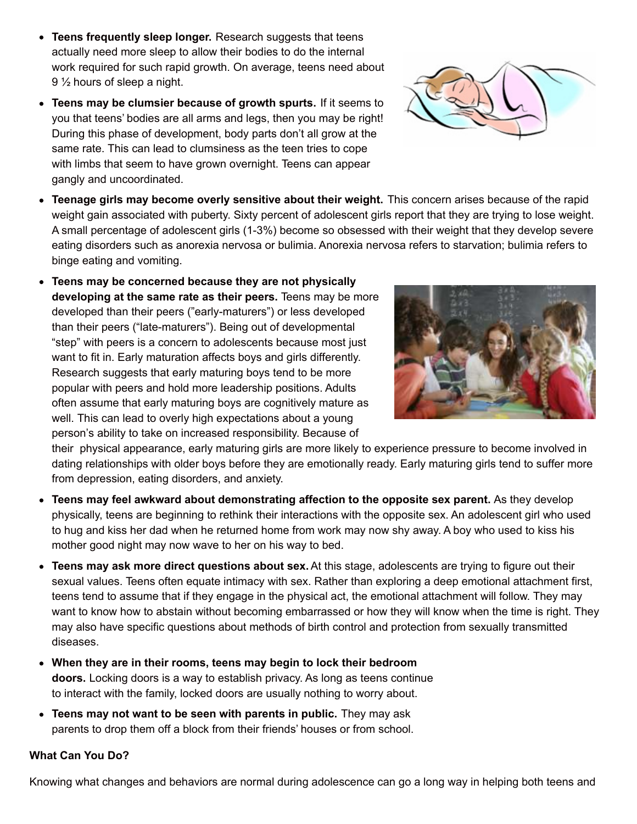- **Teens frequently sleep longer.** Research suggests that teens actually need more sleep to allow their bodies to do the internal work required for such rapid growth. On average, teens need about 9 ½ hours of sleep a night.
- **Teens may be clumsier because of growth spurts.** If it seems to you that teens' bodies are all arms and legs, then you may be right! During this phase of development, body parts don't all grow at the same rate. This can lead to clumsiness as the teen tries to cope with limbs that seem to have grown overnight. Teens can appear gangly and uncoordinated.
- **Teenage girls may become overly sensitive about their weight.** This concern arises because of the rapid weight gain associated with puberty. Sixty percent of adolescent girls report that they are trying to lose weight. A small percentage of adolescent girls (1-3%) become so obsessed with their weight that they develop severe eating disorders such as anorexia nervosa or bulimia. Anorexia nervosa refers to starvation; bulimia refers to binge eating and vomiting.
- **Teens may be concerned because they are not physically developing at the same rate as their peers.** Teens may be more developed than their peers ("early-maturers") or less developed than their peers ("late-maturers"). Being out of developmental "step" with peers is a concern to adolescents because most just want to fit in. Early maturation affects boys and girls differently. Research suggests that early maturing boys tend to be more popular with peers and hold more leadership positions. Adults often assume that early maturing boys are cognitively mature as well. This can lead to overly high expectations about a young person's ability to take on increased responsibility. Because of



- **Teens may feel awkward about demonstrating affection to the opposite sex parent.** As they develop physically, teens are beginning to rethink their interactions with the opposite sex. An adolescent girl who used to hug and kiss her dad when he returned home from work may now shy away. A boy who used to kiss his mother good night may now wave to her on his way to bed.
- **Teens may ask more direct questions about sex.** At this stage, adolescents are trying to figure out their sexual values. Teens often equate intimacy with sex. Rather than exploring a deep emotional attachment first, teens tend to assume that if they engage in the physical act, the emotional attachment will follow. They may want to know how to abstain without becoming embarrassed or how they will know when the time is right. They may also have specific questions about methods of birth control and protection from sexually transmitted diseases.
- **When they are in their rooms, teens may begin to lock their bedroom doors.** Locking doors is a way to establish privacy. As long as teens continue to interact with the family, locked doors are usually nothing to worry about.
- **Teens may not want to be seen with parents in public.** They may ask parents to drop them off a block from their friends' houses or from school.

## **What Can You Do?**

Knowing what changes and behaviors are normal during adolescence can go a long way in helping both teens and



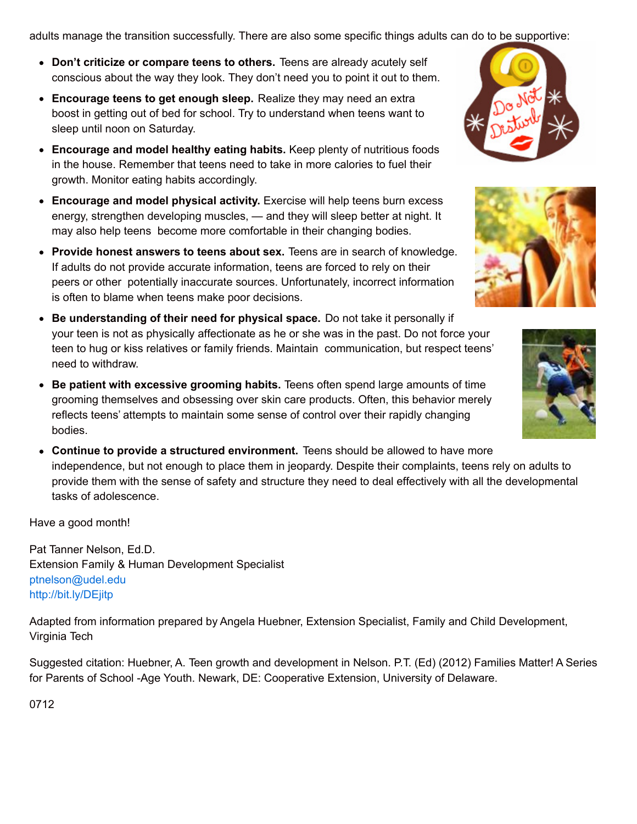adults manage the transition successfully. There are also some specific things adults can do to be supportive:

- **Don't criticize or compare teens to others.** Teens are already acutely self conscious about the way they look. They don't need you to point it out to them.
- **Encourage teens to get enough sleep.** Realize they may need an extra boost in getting out of bed for school. Try to understand when teens want to sleep until noon on Saturday.
- **Encourage and model healthy eating habits.** Keep plenty of nutritious foods in the house. Remember that teens need to take in more calories to fuel their growth. Monitor eating habits accordingly.
- **Encourage and model physical activity.** Exercise will help teens burn excess energy, strengthen developing muscles, — and they will sleep better at night. It may also help teens become more comfortable in their changing bodies.
- **Provide honest answers to teens about sex.** Teens are in search of knowledge. If adults do not provide accurate information, teens are forced to rely on their peers or other potentially inaccurate sources. Unfortunately, incorrect information is often to blame when teens make poor decisions.
- **Be understanding of their need for physical space.** Do not take it personally if your teen is not as physically affectionate as he or she was in the past. Do not force your teen to hug or kiss relatives or family friends. Maintain communication, but respect teens' need to withdraw.
- **Be patient with excessive grooming habits.** Teens often spend large amounts of time grooming themselves and obsessing over skin care products. Often, this behavior merely reflects teens' attempts to maintain some sense of control over their rapidly changing bodies.
- **Continue to provide a structured environment.** Teens should be allowed to have more independence, but not enough to place them in jeopardy. Despite their complaints, teens rely on adults to provide them with the sense of safety and structure they need to deal effectively with all the developmental tasks of adolescence.

Have a good month!

Pat Tanner Nelson, Ed.D. Extension Family & Human Development Specialist [ptnelson@udel.edu](mailto:ptnelson@udel.edu) <http://bit.ly/DEjitp>

Adapted from information prepared by Angela Huebner, Extension Specialist, Family and Child Development, Virginia Tech

Suggested citation: Huebner, A. Teen growth and development in Nelson. P.T. (Ed) (2012) Families Matter! A Series for Parents of School -Age Youth. Newark, DE: Cooperative Extension, University of Delaware.

0712